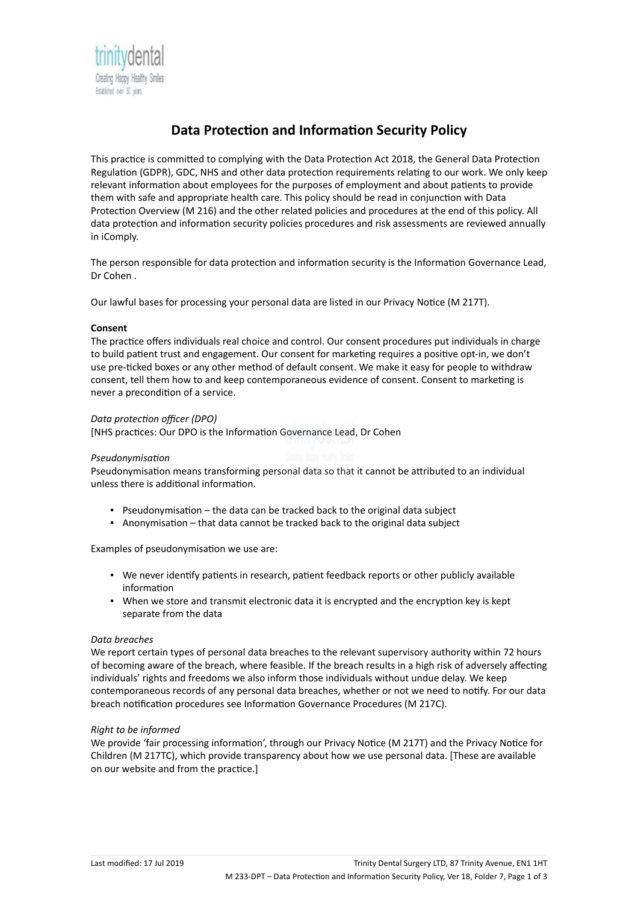

# **Data Protection and Information Security Policy**

This practice is committed to complying with the Data Protection Act 2018, the General Data Protection Regulation (GDPR), GDC, NHS and other data protection requirements relating to our work. We only keep relevant information about employees for the purposes of employment and about patients to provide them with safe and appropriate health care. This policy should be read in conjunction with Data Protection Overview (M 216) and the other related policies and procedures at the end of this policy. All data protection and information security policies procedures and risk assessments are reviewed annually in iComply.

The person responsible for data protection and information security is the Information Governance Lead, Dr Cohen .

Our lawful bases for processing your personal data are listed in our Privacy Notice (M 217T).

## **Consent**

The practice offers individuals real choice and control. Our consent procedures put individuals in charge to build patient trust and engagement. Our consent for marketing requires a positive opt-in, we don't use pre-ticked boxes or any other method of default consent. We make it easy for people to withdraw consent, tell them how to and keep contemporaneous evidence of consent. Consent to marketing is never a precondition of a service.

# *Data protection officer (DPO)*

[NHS practices: Our DPO is the Information Governance Lead, Dr Cohen

## *Pseudonymisation*

Pseudonymisation means transforming personal data so that it cannot be attributed to an individual unless there is additional information.

- **•** Pseudonymisation  $-$  the data can be tracked back to the original data subject
- Anonymisation that data cannot be tracked back to the original data subject

Examples of pseudonymisation we use are:

- We never identify patients in research, patient feedback reports or other publicly available information
- When we store and transmit electronic data it is encrypted and the encryption key is kept separate from the data

## *Data breaches*

We report certain types of personal data breaches to the relevant supervisory authority within 72 hours of becoming aware of the breach, where feasible. If the breach results in a high risk of adversely affecting individuals' rights and freedoms we also inform those individuals without undue delay. We keep contemporaneous records of any personal data breaches, whether or not we need to notify. For our data breach notification procedures see Information Governance Procedures (M 217C).

## *Right to be informed*

We provide 'fair processing information', through our Privacy Notice (M 217T) and the Privacy Notice for Children (M 217TC), which provide transparency about how we use personal data. [These are available on our website and from the practice.]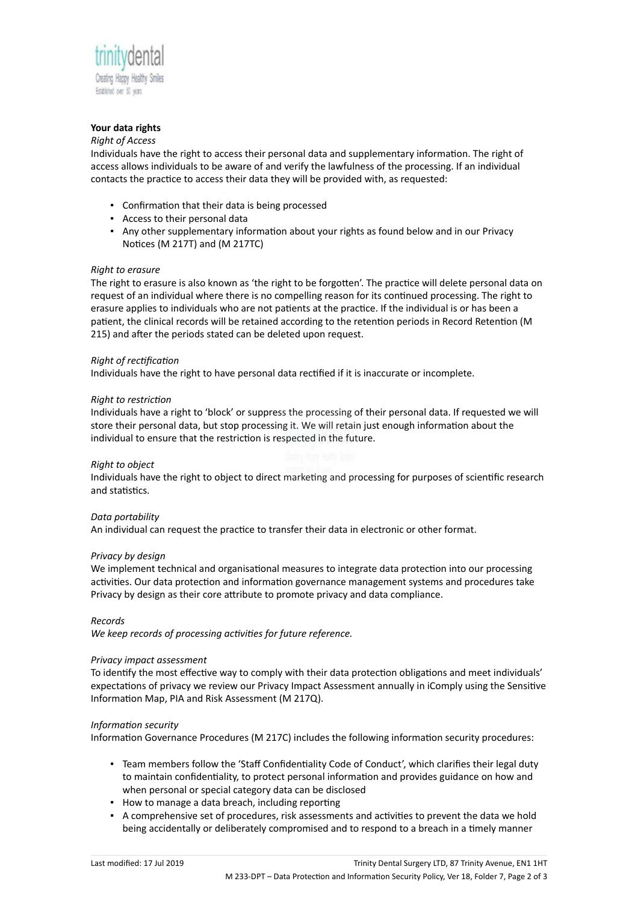

## **Your data rights**

## *Right of Access*

Individuals have the right to access their personal data and supplementary information. The right of access allows individuals to be aware of and verify the lawfulness of the processing. If an individual contacts the practice to access their data they will be provided with, as requested:

- Confirmation that their data is being processed
- Access to their personal data
- Any other supplementary information about your rights as found below and in our Privacy Notices (M 217T) and (M 217TC)

## *Right to erasure*

The right to erasure is also known as 'the right to be forgotten'. The practice will delete personal data on request of an individual where there is no compelling reason for its continued processing. The right to erasure applies to individuals who are not patients at the practice. If the individual is or has been a patient, the clinical records will be retained according to the retention periods in Record Retention (M 215) and after the periods stated can be deleted upon request.

## *Right of rectification*

Individuals have the right to have personal data rectified if it is inaccurate or incomplete.

## *Right to restriction*

Individuals have a right to 'block' or suppress the processing of their personal data. If requested we will store their personal data, but stop processing it. We will retain just enough information about the individual to ensure that the restriction is respected in the future.

## *Right to object*

Individuals have the right to object to direct marketing and processing for purposes of scientific research and statistics.

## *Data portability*

An individual can request the practice to transfer their data in electronic or other format.

#### *Privacy by design*

We implement technical and organisational measures to integrate data protection into our processing activities. Our data protection and information governance management systems and procedures take Privacy by design as their core attribute to promote privacy and data compliance.

## *Records*

*We keep records of processing activities for future reference.*

## *Privacy impact assessment*

To identify the most effective way to comply with their data protection obligations and meet individuals' expectations of privacy we review our Privacy Impact Assessment annually in iComply using the Sensitive Information Map, PIA and Risk Assessment (M 217Q).

## *Information security*

Information Governance Procedures (M 217C) includes the following information security procedures:

- Team members follow the 'Staff Confidentiality Code of Conduct', which clarifies their legal duty to maintain confidentiality, to protect personal information and provides guidance on how and when personal or special category data can be disclosed
- How to manage a data breach, including reporting
- A comprehensive set of procedures, risk assessments and activities to prevent the data we hold being accidentally or deliberately compromised and to respond to a breach in a timely manner